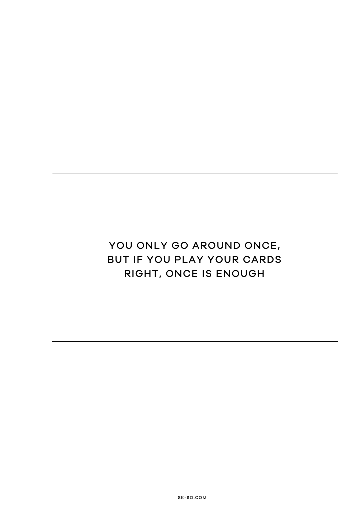# YOU ONLY GO AROUND ONCE, BUT IF YOU PLAY YOUR CARDS RIGHT, ONCE IS ENOUGH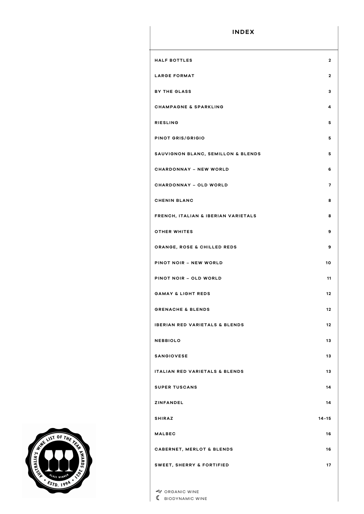| <b>INDEX</b>                              |                |
|-------------------------------------------|----------------|
| <b>HALF BOTTLES</b>                       | $\mathbf{2}$   |
| <b>LARGE FORMAT</b>                       | $\mathbf{2}$   |
| <b>BY THE GLASS</b>                       | з              |
| <b>CHAMPAGNE &amp; SPARKLING</b>          | 4              |
| <b>RIESLING</b>                           | 5              |
| PINOT GRIS/GRIGIO                         | 5              |
| SAUVIGNON BLANC, SEMILLON & BLENDS        | 5              |
| <b>CHARDONNAY - NEW WORLD</b>             | 6              |
| <b>CHARDONNAY - OLD WORLD</b>             | $\overline{7}$ |
| <b>CHENIN BLANC</b>                       | 8              |
| FRENCH, ITALIAN & IBERIAN VARIETALS       | 8              |
| <b>OTHER WHITES</b>                       | 9              |
| ORANGE, ROSE & CHILLED REDS               | 9              |
| PINOT NOIR - NEW WORLD                    | 10             |
| PINOT NOIR - OLD WORLD                    | 11             |
| <b>GAMAY &amp; LIGHT REDS</b>             | 12             |
| <b>GRENACHE &amp; BLENDS</b>              | 12             |
| <b>IBERIAN RED VARIETALS &amp; BLENDS</b> | 12             |
| <b>NEBBIOLO</b>                           | 13             |
| <b>SANGIOVESE</b>                         | 13             |
| <b>ITALIAN RED VARIETALS &amp; BLENDS</b> | 13             |
| <b>SUPER TUSCANS</b>                      | 14             |
| <b>ZINFANDEL</b>                          | 14             |
| <b>SHIRAZ</b>                             | $14 - 15$      |
| <b>MALBEC</b>                             | 16             |
| <b>CABERNET, MERLOT &amp; BLENDS</b>      | 16             |
| SWEET, SHERRY & FORTIFIED                 | 17             |
|                                           |                |

g ORGANIC WINE **C** BIODYNAMIC WINE

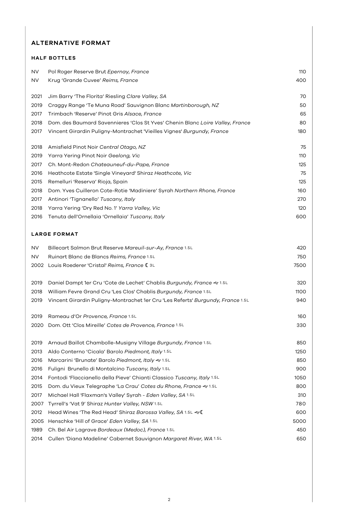#### **ALTERNATIVE FORMAT**

# **HALF BOTTLES** NV Pol Roger Reserve Brut *Epernay, France* 110 NV Krug 'Grande Cuvee' *Reims, France* 400 Jim Barry 'The Florita' Riesling *Clare Valley, SA* 70 Craggy Range 'Te Muna Road' Sauvignon Blanc *Martinborough, NZ* 50 Trimbach 'Reserve' Pinot Gris *Alsace, France* 65 Dom. des Baumard Savennieres 'Clos St Yves' Chenin Blanc *Loire Valley, France* 80 Vincent Girardin Puligny-Montrachet 'Vieilles Vignes' *Burgundy, France* 180 Amisfield Pinot Noir *Central Otago, NZ* 75 Yarra Yering Pinot Noir *Geelong, Vic* 110 Ch. Mont-Redon *Chateauneuf-du-Pape, France* 125 Heathcote Estate 'Single Vineyard' Shiraz *Heathcote, Vic* 75 Remelluri 'Reserva' Rioja, Spain 125 Dom. Yves Cuilleron Cote-Rotie 'Madiniere' Syrah *Northern Rhone, France* 160 Antinori 'Tignanello' *Tuscany, Italy* 270 Yarra Yering 'Dry Red No. 1' *Yarra Valley, Vic* 120 Tenuta dell'Ornellaia 'Ornellaia' *Tuscany, Italy* 600

#### **LARGE FORMAT**

| <b>NV</b> | Billecart Salmon Brut Reserve Mareuil-sur-Ay, France 1.5L                       | 420  |
|-----------|---------------------------------------------------------------------------------|------|
| <b>NV</b> | Ruinart Blanc de Blancs Reims, France 1.5L                                      | 750  |
| 2002      | Louis Roederer 'Cristal' Reims, France (3L                                      | 7500 |
|           |                                                                                 |      |
| 2019      | Daniel Dampt 1er Cru 'Cote de Lechet' Chablis Burgundy, France & 1.5L           | 320  |
| 2018      | William Fevre Grand Cru 'Les Clos' Chablis Burgundy, France 1.5L                | 1100 |
| 2019      | Vincent Girardin Puligny-Montrachet 1er Cru 'Les Referts' Burgundy, France 1.5L | 940  |
|           |                                                                                 |      |
| 2019      | Rameau d'Or Provence, France 1.5L                                               | 160  |
| 2020      | Dom. Ott 'Clos Mireille' Cotes de Provence, France 1.5L                         | 330  |
|           |                                                                                 |      |
| 2019      | Arnaud Baillot Chambolle-Musigny Village Burgundy, France 1.5L                  | 850  |
| 2013      | Aldo Conterno 'Cicala' Barolo Piedmont, Italy 1.5L                              | 1250 |
| 2016      | Marcarini 'Brunate' Barolo Piedmont, Italy & 1.5L                               | 850  |
| 2016      | Fuligni Brunello di Montalcino Tuscany, Italy 1.5L                              | 900  |
| 2014      | Fontodi 'Flaccianello della Pieve' Chianti Classico Tuscany, Italy 1.5L         | 1050 |
| 2015      | Dom. du Vieux Telegraphe 'La Crau' Cotes du Rhone, France & 1.5L                | 800  |
| 2017      | Michael Hall 'Flaxman's Valley' Syrah - Eden Valley, SA 1.5L                    | 310  |
| 2007      | Tyrrell's 'Vat 9' Shiraz Hunter Valley, NSW 1.5L                                | 780  |
| 2012      | Head Wines 'The Red Head' Shiraz Barossa Valley, SA 1.5L & C                    | 600  |
| 2005      | Henschke 'Hill of Grace' Eden Valley, SA 1.5L                                   | 5000 |
| 1989      | Ch. Bel Air Lagrave Bordeaux (Medoc), France 1.5L                               | 450  |
| 2014      | Cullen 'Diana Madeline' Cabernet Sauvignon Margaret River, WA 1.5L              | 650  |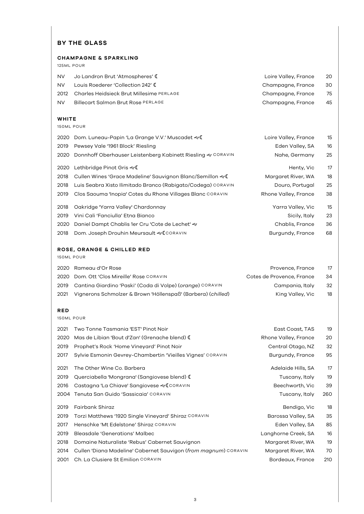## **BY THE GLASS**

#### **CHAMPAGNE & SPARKLING**

125ML POUR

| <b>WHITE</b> |                                                 |                      |           |
|--------------|-------------------------------------------------|----------------------|-----------|
| <b>NV</b>    | <b>Billecart Salmon Brut Rose PERLAGE</b>       | Champagne, France    | 45        |
| 2012         | <b>Charles Heidsieck Brut Millesime PERLAGE</b> | Champagne, France    | 75        |
| <b>NV</b>    | Louis Roederer 'Collection 242' (               | Champagne, France    | 30        |
| NV.          | Jo Landron Brut 'Atmospheres' (                 | Loire Valley, France | <b>20</b> |

150ML POUR

| 2020       | Dom. Luneau-Papin 'La Grange V.V.' Muscadet & C              | Loire Valley, France      | 15 |
|------------|--------------------------------------------------------------|---------------------------|----|
| 2019       | Pewsey Vale '1961 Block' Riesling                            | Eden Valley, SA           | 16 |
| 2020       | Donnhoff Oberhauser Leistenberg Kabinett Riesling & CORAVIN  | Nahe, Germany             | 25 |
| 2020       | Lethbridge Pinot Gris &                                      | Henty, Vic                | 17 |
| 2018       | Cullen Wines 'Grace Madeline' Sauvignon Blanc/Semillon & C   | Margaret River, WA        | 18 |
| 2018       | Luis Seabra Xisto Ilimitado Branco (Rabigato/Codega) CORAVIN | Douro, Portugal           | 25 |
| 2019       | Clos Saouma 'Inopia' Cotes du Rhone Villages Blanc CORAVIN   | Rhone Valley, France      | 38 |
| 2018       | Oakridge 'Yarra Valley' Chardonnay                           | Yarra Valley, Vic         | 15 |
| 2019       | Vini Cali 'Fanciulla' Etna Bianco                            | Sicily, Italy             | 23 |
| 2020       | Daniel Dampt Chablis 1er Cru 'Cote de Lechet' &              | Chablis, France           | 36 |
| 2018       | Dom. Joseph Drouhin Meursault & CORAVIN                      | Burgundy, France          | 68 |
|            | <b>ROSE, ORANGE &amp; CHILLED RED</b>                        |                           |    |
| 150ML POUR |                                                              |                           |    |
| 2020       | Rameau d'Or Rose                                             | Provence, France          | 17 |
| 2020       | Dom. Ott 'Clos Mireille' Rose CORAVIN                        | Cotes de Provence, France | 34 |
| 2019       | Cantina Giardino 'Paski' (Coda di Volpe) (orange) CORAVIN    | Campania, Italy           | 32 |
| 2021       | Vignerons Schmolzer & Brown 'Höllenspaß' (Barbera) (chilled) | King Valley, Vic          | 18 |
| <b>RED</b> |                                                              |                           |    |
| 150ML POUR |                                                              |                           |    |
| 2021       | Two Tonne Tasmania 'EST' Pinot Noir                          | East Coast, TAS           | 19 |
| 2020       | Mas de Libian 'Bout d'Zan' (Grenache blend) (                | Rhone Valley, France      | 20 |

2019 Prophet's Rock 'Home Vineyard' Pinot Noir Changes and Central Otago, NZ 32

2017 Sylvie Esmonin Gevrey-Chambertin 'Vieilles Vignes' CORAVIN Burgundy, France 95

| 2021 | The Other Wine Co. Barbera                   | Adelaide Hills, SA | 17  |
|------|----------------------------------------------|--------------------|-----|
| 2019 | Querciabella 'Mongrana' (Sangiovese blend) ( | Tuscany, Italy     | 19  |
| 2016 | Castagna 'La Chiave' Sangiovese & CORAVIN    | Beechworth, Vic    | 39  |
|      | 2004 Tenuta San Guido 'Sassicaia' CORAVIN    | Tuscany, Italy     | 260 |
| 2019 | Fairbank Shiraz                              | Bendigo, Vic       | 18  |

2019 Torzi Matthews '1920 Single Vineyard' Shiraz CORAVIN Barossa Valley, SA 35 2017 Henschke 'Mt Edelstone' Shiraz CORAVIN Eden Valley, SA 85 2019 Bleasdale 'Generations' Malbec Langhorne Creek, SA 16 2018 Domaine Naturaliste 'Rebus' Cabernet Sauvignon Margaret River, WA 19 2014 Cullen 'Diana Madeline' Cabernet Sauvigon (*from magnum*) CORAVIN Margaret River, WA 70

2001 Ch. La Clusiere St Emilion CORAVIN Bordeaux, France 210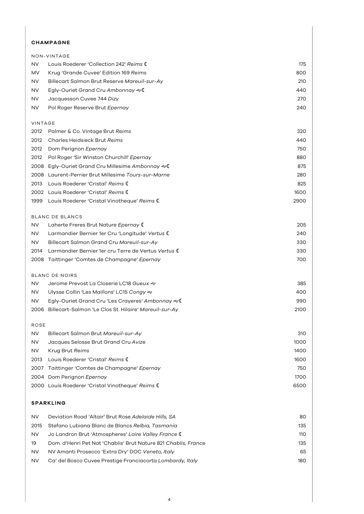## **CHAMPAGNE**

|             | NON-VINTAGE                                                    |      |
|-------------|----------------------------------------------------------------|------|
| NV          | Louis Roederer 'Collection 242' Reims C                        | 175  |
| MV          | Krug 'Grande Cuvee' Edition 169 Reims                          | 800  |
| NV          | Billecart Salmon Brut Reserve Mareuil-sur-Ay                   | 210  |
| NV          | Egly-Ouriet Grand Cru Ambonnay <€ €                            | 440  |
| NV          | Jacquesson Cuvee 744 Dizy                                      | 270  |
| NV          | Pol Roger Reserve Brut Epernay                                 | 240  |
| VINTAGE     |                                                                |      |
| 2012        | Palmer & Co. Vintage Brut Reims                                | 320  |
| 2012        | <b>Charles Heidsieck Brut Reims</b>                            | 440  |
| 2012        | Dom Perignon Epernay                                           | 750  |
| 2012        | Pol Roger 'Sir Winston Churchill' Epernay                      | 880  |
| 2008        | Egly-Ouriet Grand Cru Millesime Ambonnay &                     | 875  |
| 2008        | Laurent-Perrier Brut Millesime Tours-sur-Marne                 | 280  |
| 2013        | Louis Roederer 'Cristal' Reims C                               | 825  |
| 2002        | Louis Roederer 'Cristal' Reims C                               | 1600 |
| 1999        | Louis Roederer 'Cristal Vinotheque' Reims (                    | 2900 |
|             | <b>BLANC DE BLANCS</b>                                         |      |
| NV          | Laherte Freres Brut Nature Epernay (                           | 205  |
| NV          | Larmandier Bernier 1er Cru 'Longitude' Vertus (                | 240  |
| NV          | Billecart Salmon Grand Cru Mareuil-sur-Ay                      | 330  |
| 2014        | Larmandier Bernier 1er cru Terre de Vertus Vertus (            | 330  |
| 2008        | Taittinger 'Comtes de Champagne' <i>Epernay</i>                | 700  |
|             | <b>BLANC DE NOIRS</b>                                          |      |
| NV          | Jerome Prevost La Closerie LC18 Gueux <>                       | 385  |
| NV          | Ulysse Collin 'Les Maillons' LC15 Congy ��                     | 400  |
| NV          | Egly-Ouriet Grand Cru 'Les Crayeres' Ambonnay &                | 990  |
|             | 2006 Billecart-Salmon 'Le Clos St. Hilaire' Mareuil-sur-Ay     | 2100 |
| <b>ROSE</b> |                                                                |      |
| NV          | Billecart Salmon Brut Mareuil-sur-Ay                           | 310  |
| NV          | Jacques Selosse Brut Grand Cru Avize                           | 1000 |
| <b>NV</b>   | Krug Brut Reims                                                | 1400 |
| 2013        | Louis Roederer 'Cristal' Reims C                               | 1600 |
| 2007        | Taittinger 'Comtes de Champagne' Epernay                       | 750  |
| 2004        | Dom Perignon Epernay                                           | 1700 |
|             | 2000 Louis Roederer 'Cristal Vinotheque' Reims (               | 6500 |
|             | <b>SPARKLING</b>                                               |      |
| NV          | Deviation Road 'Altair' Brut Rose Adelaide Hills, SA           | 80   |
| 2015        | Stefano Lubiana Blanc de Blancs Relbia, Tasmania               | 135  |
| NV          | Jo Landron Brut 'Atmospheres' Loire Valley France (            | 110  |
| 19          | Dom. d'Henri Pet Nat 'Chablis' Brut Nature 821 Chablis, France | 135  |

- NV NV Amanti Prosecco 'Extra Dry' DOC *Veneto, Italy* 65
- NV Ca' del Bosco Cuvee Prestige Franciacorta *Lombardy, Italy* 180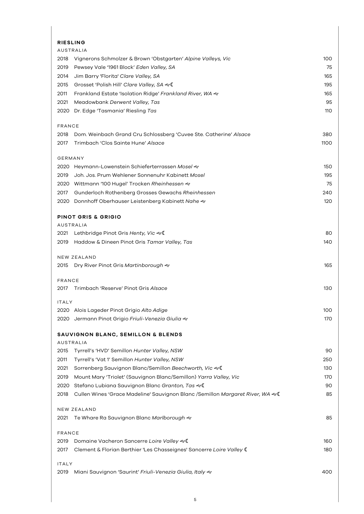| <b>RIESLING</b>                                                                      |      |
|--------------------------------------------------------------------------------------|------|
| <b>AUSTRALIA</b>                                                                     |      |
| Vignerons Schmolzer & Brown 'Obstgarten' Alpine Valleys, Vic<br>2018                 | 100  |
| 2019<br>Pewsey Vale '1961 Block' Eden Valley, SA                                     | 75   |
| 2014<br>Jim Barry 'Florita' Clare Valley, SA                                         | 165  |
| Grosset 'Polish Hill' Clare Valley, SA ~(<br>2015                                    | 195  |
| 2011<br>Frankland Estate 'Isolation Ridge' Frankland River, WA $\ll$                 | 165  |
| 2021<br>Meadowbank Derwent Valley, Tas                                               | 95   |
| 2020 Dr. Edge 'Tasmania' Riesling Tas                                                | 110  |
| <b>FRANCE</b>                                                                        |      |
| 2018 Dom. Weinbach Grand Cru Schlossberg 'Cuvee Ste. Catherine' Alsace               | 380  |
| Trimbach 'Clos Sainte Hune' Alsace<br>2017                                           | 1100 |
| GERMANY                                                                              |      |
| 2020 Heymann-Lowenstein Schieferterrassen Mosel &                                    | 150  |
| Joh. Jos. Prum Wehlener Sonnenuhr Kabinett Mosel<br>2019                             | 195  |
| 2020 Wittmann '100 Hugel' Trocken Rheinhessen &                                      | 75   |
| Gunderloch Rothenberg Grosses Gewachs Rheinhessen<br>2017                            | 240  |
| 2020 Donnhoff Oberhauser Leistenberg Kabinett Nahe &                                 | 120  |
| <b>PINOT GRIS &amp; GRIGIO</b>                                                       |      |
| <b>AUSTRALIA</b>                                                                     |      |
| 2021 Lethbridge Pinot Gris Henty, Vic $\ll 1$                                        | 80   |
| Haddow & Dineen Pinot Gris Tamar Valley, Tas<br>2019                                 | 140  |
| NEW ZEALAND                                                                          |      |
| Dry River Pinot Gris Martinborough <e<br>2015</e<br>                                 | 165  |
| <b>FRANCE</b>                                                                        |      |
| Trimbach 'Reserve' Pinot Gris Alsace<br>2017                                         | 130  |
| <b>ITALY</b>                                                                         |      |
| 2020 Alois Lageder Pinot Grigio Alto Adige                                           | 100  |
| 2020 Jermann Pinot Grigio Friuli-Venezia Giulia &                                    | 170  |
| SAUVIGNON BLANC, SEMILLON & BLENDS                                                   |      |
| <b>AUSTRALIA</b>                                                                     |      |
| Tyrrell's 'HVD' Semillon Hunter Valley, NSW<br>2015                                  | 90   |
| 2011<br>Tyrrell's 'Vat 1' Semillon Hunter Valley, NSW                                | 250  |
| 2021<br>Sorrenberg Sauvignon Blanc/Semillon Beechworth, Vic & I                      | 130  |
| Mount Mary 'Triolet' (Sauvignon Blanc/Semillon) Yarra Valley, Vic<br>2019            | 170  |
| Stefano Lubiana Sauvignon Blanc Granton, Tas ~<br>2020                               | 90   |
| Cullen Wines 'Grace Madeline' Sauvignon Blanc /Semillon Margaret River, WA &<br>2018 | 85   |
| NEW ZEALAND                                                                          |      |
| Te Whare Ra Sauvignon Blanc Marlborough &<br>2021                                    | 85   |
| <b>FRANCE</b>                                                                        |      |
| Domaine Vacheron Sancerre Loire Valley &<br>2019                                     | 160  |
| Clement & Florian Berthier 'Les Chasseignes' Sancerre Loire Valley (<br>2017         | 180  |
| <b>ITALY</b>                                                                         |      |
| Miani Sauvignon 'Saurint' Friuli-Venezia Giulia, Italy &<br>2019                     | 400  |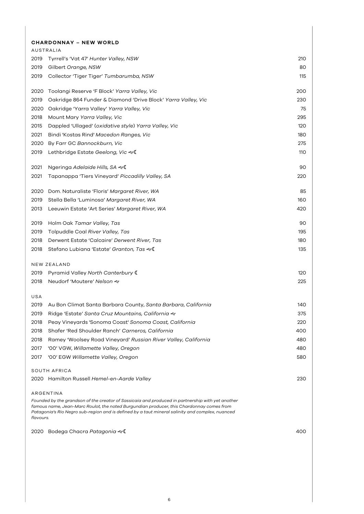|           | <b>CHARDONNAY - NEW WORLD</b>                                                                                                                                                                                                                                                                                |     |
|-----------|--------------------------------------------------------------------------------------------------------------------------------------------------------------------------------------------------------------------------------------------------------------------------------------------------------------|-----|
|           | AUSTRALIA                                                                                                                                                                                                                                                                                                    |     |
| 2019      | Tyrrell's 'Vat 47' Hunter Valley, NSW                                                                                                                                                                                                                                                                        | 210 |
| 2019      | Gilbert Orange, NSW                                                                                                                                                                                                                                                                                          | 80  |
| 2019      | Collector 'Tiger Tiger' Tumbarumba, NSW                                                                                                                                                                                                                                                                      | 115 |
| 2020      | Toolangi Reserve 'F Block' Yarra Valley, Vic                                                                                                                                                                                                                                                                 | 200 |
| 2019      | Oakridge 864 Funder & Diamond 'Drive Block' Yarra Valley, Vic                                                                                                                                                                                                                                                | 230 |
| 2020      | Oakridge 'Yarra Valley' Yarra Valley, Vic                                                                                                                                                                                                                                                                    | 75  |
| 2018      | Mount Mary Yarra Valley, Vic                                                                                                                                                                                                                                                                                 | 295 |
| 2015      | Dappled 'Ullaged' (oxidative style) Yarra Valley, Vic                                                                                                                                                                                                                                                        | 120 |
| 2021      | Bindi 'Kostas Rind' Macedon Ranges, Vic                                                                                                                                                                                                                                                                      | 180 |
| 2020      | By Farr GC Bannockburn, Vic                                                                                                                                                                                                                                                                                  | 275 |
| 2019      | Lethbridge Estate Geelong, Vic &                                                                                                                                                                                                                                                                             | 110 |
| 2021      | Ngeringa Adelaide Hills, SA <€                                                                                                                                                                                                                                                                               | 90  |
| 2021      | Tapanappa 'Tiers Vineyard' Piccadilly Valley, SA                                                                                                                                                                                                                                                             | 220 |
| 2020      | Dom. Naturaliste 'Floris' Margaret River, WA                                                                                                                                                                                                                                                                 | 85  |
| 2019      | Stella Bella 'Luminosa' Margaret River, WA                                                                                                                                                                                                                                                                   | 160 |
| 2013      | Leeuwin Estate 'Art Series' Margaret River, WA                                                                                                                                                                                                                                                               | 420 |
| 2019      | Holm Oak Tamar Valley, Tas                                                                                                                                                                                                                                                                                   | 90  |
| 2019      | Tolpuddle Coal River Valley, Tas                                                                                                                                                                                                                                                                             | 195 |
| 2018      | Derwent Estate 'Calcaire' Derwent River, Tas                                                                                                                                                                                                                                                                 | 180 |
| 2018      | Stefano Lubiana 'Estate' <i>Granton, Tas</i> ≪C                                                                                                                                                                                                                                                              | 135 |
|           | NEW ZEALAND                                                                                                                                                                                                                                                                                                  |     |
| 2019      | Pyramid Valley North Canterbury (                                                                                                                                                                                                                                                                            | 120 |
| 2018      | Neudorf 'Moutere' Nelson &                                                                                                                                                                                                                                                                                   | 225 |
| USA       |                                                                                                                                                                                                                                                                                                              |     |
| 2019      | Au Bon Climat Santa Barbara County, Santa Barbara, California                                                                                                                                                                                                                                                | 140 |
| 2019      | Ridge 'Estate' Santa Cruz Mountains, California &                                                                                                                                                                                                                                                            | 375 |
| 2018      | Peay Vineyards 'Sonoma Coast' Sonoma Coast, California                                                                                                                                                                                                                                                       | 220 |
| 2018      | Shafer 'Red Shoulder Ranch' Carneros, California                                                                                                                                                                                                                                                             | 400 |
| 2018      | Ramey 'Woolsey Road Vineyard' Russian River Valley, California                                                                                                                                                                                                                                               | 480 |
| 2017      | '00' VGW, Willamette Valley, Oregon                                                                                                                                                                                                                                                                          | 480 |
| 2017      | '00' EGW Willamette Valley, Oregon                                                                                                                                                                                                                                                                           | 580 |
|           | SOUTH AFRICA                                                                                                                                                                                                                                                                                                 |     |
|           | 2020 Hamilton Russell Hemel-en-Aarde Valley                                                                                                                                                                                                                                                                  | 230 |
| flavours. | ARGENTINA<br>Founded by the grandson of the creator of Sassicaia and produced in partnership with yet another<br>famous name, Jean-Marc Roulot, the noted Burgundian producer, this Chardonnay comes from<br>Patagonia's Rio Negro sub-region and is defined by a taut mineral salinity and complex, nuanced |     |
| 2020      | Bodega Chacra Patagonia & C                                                                                                                                                                                                                                                                                  | 400 |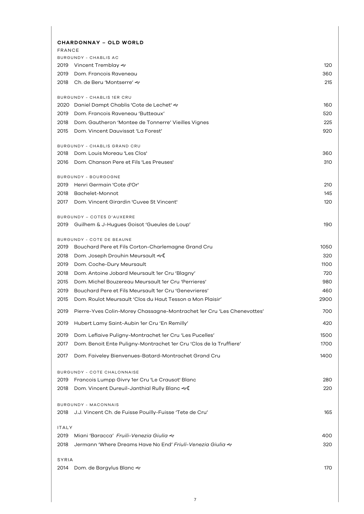| <b>CHARDONNAY - OLD WORLD</b>                                                  |      |
|--------------------------------------------------------------------------------|------|
| <b>FRANCE</b><br><b>BURGUNDY - CHABLIS AC</b>                                  |      |
| 2019 Vincent Tremblay $\ll$                                                    | 120  |
| 2019 Dom. Francois Raveneau                                                    | 360  |
| 2018 Ch. de Beru 'Montserre' &                                                 | 215  |
|                                                                                |      |
| BURGUNDY - CHABLIS 1ER CRU                                                     |      |
| 2020 Daniel Dampt Chablis 'Cote de Lechet' &                                   | 160  |
| Dom. Francois Raveneau 'Butteaux'<br>2019                                      | 520  |
| 2018 Dom. Gautheron 'Montee de Tonnerre' Vieilles Vignes                       | 225  |
| 2015<br>Dom. Vincent Dauvissat 'La Forest'                                     | 920  |
| BURGUNDY - CHABLIS GRAND CRU                                                   |      |
| 2018 Dom. Louis Moreau 'Les Clos'                                              | 360  |
| 2016 Dom. Chanson Pere et Fils 'Les Preuses'                                   | 310  |
| BURGUNDY - BOURGOGNE                                                           |      |
| 2019 Henri Germain 'Cote d'Or'                                                 | 210  |
| 2018 Bachelet-Monnot                                                           | 145  |
| Dom, Vincent Girardin 'Cuvee St Vincent'<br>2017                               | 120  |
| BURGUNDY - COTES D'AUXERRE                                                     |      |
| Guilhem & J-Hugues Goisot 'Gueules de Loup'<br>2019                            | 190  |
| BURGUNDY - COTE DE BEAUNE                                                      |      |
| 2019 Bouchard Pere et Fils Corton-Charlemagne Grand Cru                        | 1050 |
| 2018<br>Dom. Joseph Drouhin Meursault <                                        | 320  |
| 2019<br>Dom. Coche-Dury Meursault                                              | 1100 |
| 2018<br>Dom. Antoine Jobard Meursault 1er Cru 'Blagny'                         | 720  |
| Dom. Michel Bouzereau Meursault 1er Cru 'Perrieres'<br>2015                    | 980  |
| Bouchard Pere et Fils Meursault 1er Cru 'Genevrieres'<br>2019                  | 460  |
| Dom. Roulot Meursault 'Clos du Haut Tesson a Mon Plaisir'<br>2015              | 2900 |
| Pierre-Yves Colin-Morey Chassagne-Montrachet 1er Cru 'Les Chenevottes'<br>2019 | 700  |
| Hubert Lamy Saint-Aubin 1er Cru 'En Remilly'<br>2019                           | 420  |
| 2019<br>Dom. Leflaive Puligny-Montrachet 1er Cru 'Les Pucelles'                | 1500 |
| 2017<br>Dom. Benoit Ente Puligny-Montrachet 1er Cru 'Clos de la Truffiere'     | 1700 |
| 2017<br>Dom. Faiveley Bienvenues-Batard-Montrachet Grand Cru                   | 1400 |
| BURGUNDY - COTE CHALONNAISE                                                    |      |
| Francois Lumpp Givry 1er Cru 'Le Crausot' Blanc<br>2019                        | 280  |
| Dom. Vincent Dureuil-Janthial Rully Blanc ~<br>2018                            | 220  |
| <b>BURGUNDY - MACONNAIS</b>                                                    |      |
| 2018 J.J. Vincent Ch. de Fuisse Pouilly-Fuisse 'Tete de Cru'                   | 165  |
|                                                                                |      |
| <b>ITALY</b>                                                                   |      |
| 2019<br>Miani 'Baracca' Fruili-Venezia Giulia &                                | 400  |
| Jermann 'Where Dreams Have No End' Friuli-Venezia Giulia &<br>2018             | 320  |
| SYRIA                                                                          |      |
| Dom. de Bargylus Blanc &<br>2014                                               | 170  |
|                                                                                |      |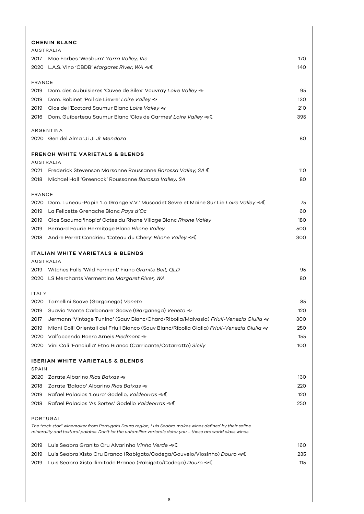|               | <b>CHENIN BLANC</b>                                                                                                                                                                                                     |     |
|---------------|-------------------------------------------------------------------------------------------------------------------------------------------------------------------------------------------------------------------------|-----|
|               | <b>AUSTRALIA</b>                                                                                                                                                                                                        |     |
| 2017          | Mac Forbes 'Wesburn' Yarra Valley, Vic                                                                                                                                                                                  | 170 |
|               | 2020 L.A.S. Vino 'CBDB' Margaret River, WA & C                                                                                                                                                                          | 140 |
| <b>FRANCE</b> |                                                                                                                                                                                                                         |     |
| 2019          | Dom. des Aubuisieres 'Cuvee de Silex' Vouvray Loire Valley &                                                                                                                                                            | 95  |
| 2019          | Dom. Bobinet 'Poil de Lievre' Loire Valley &                                                                                                                                                                            | 130 |
| 2019          | Clos de l'Ecotard Saumur Blanc Loire Valley &                                                                                                                                                                           | 210 |
| 2016          | Dom. Guiberteau Saumur Blanc 'Clos de Carmes' Loire Valley & I                                                                                                                                                          | 395 |
|               | ARGENTINA                                                                                                                                                                                                               |     |
|               | 2020 Gen del Alma 'Ji Ji Ji' Mendoza                                                                                                                                                                                    | 80  |
|               | <b>FRENCH WHITE VARIETALS &amp; BLENDS</b>                                                                                                                                                                              |     |
|               | <b>AUSTRALIA</b>                                                                                                                                                                                                        |     |
| 2021          | Frederick Stevenson Marsanne Roussanne Barossa Valley, SA (                                                                                                                                                             | 110 |
| 2018          | Michael Hall 'Greenock' Roussanne Barossa Valley, SA                                                                                                                                                                    | 80  |
| FRANCE        |                                                                                                                                                                                                                         |     |
| 2020          | Dom. Luneau-Papin 'La Grange V.V.' Muscadet Sevre et Maine Sur Lie Loire Valley & C                                                                                                                                     | 75  |
| 2019          | La Felicette Grenache Blanc Pays d'Oc                                                                                                                                                                                   | 60  |
| 2019          | Clos Saouma 'Inopia' Cotes du Rhone Village Blanc Rhone Valley                                                                                                                                                          | 180 |
| 2019          | Bernard Faurie Hermitage Blanc Rhone Valley                                                                                                                                                                             | 500 |
| 2018          | Andre Perret Condrieu 'Coteau du Chery' Rhone Valley &                                                                                                                                                                  | 300 |
|               | ITALIAN WHITE VARIETALS & BLENDS                                                                                                                                                                                        |     |
|               | AUSTRALIA                                                                                                                                                                                                               |     |
|               | 2019 Witches Falls 'Wild Ferment' Fiano Granite Belt, QLD                                                                                                                                                               | 95  |
|               | 2020 LS Merchants Vermentino Margaret River, WA                                                                                                                                                                         | 80  |
| <b>ITALY</b>  |                                                                                                                                                                                                                         |     |
|               | 2020 Tamellini Soave (Garganega) Veneto                                                                                                                                                                                 | 85  |
| 2019          | Suavia 'Monte Carbonare' Soave (Garganega) Veneto &                                                                                                                                                                     | 120 |
| 2017          | Jermann 'Vintage Tunina' (Sauv Blanc/Chard/Ribolla/Malvasia) <i>Friuli-Venezia Giulia ≈</i>                                                                                                                             | 300 |
| 2019          | Miani Colli Orientali del Friuli Bianco (Sauv Blanc/Ribolla Gialla) <i>Friuli-Venezia Giulia «</i>                                                                                                                      | 250 |
| 2020          | Valfaccenda Roero Arneis Piedmont &                                                                                                                                                                                     | 155 |
| 2020          | Vini Cali 'Fanciulla' Etna Bianco (Carricante/Catarratto) Sicily                                                                                                                                                        | 100 |
|               | <b>IBERIAN WHITE VARIETALS &amp; BLENDS</b>                                                                                                                                                                             |     |
| SPAIN         |                                                                                                                                                                                                                         |     |
| 2020          |                                                                                                                                                                                                                         | 130 |
| 2018          | Zarate 'Balado' Albarino Rias Baixas &                                                                                                                                                                                  | 220 |
| 2019          | Rafael Palacios 'Louro' Godello, Valdeorras &                                                                                                                                                                           | 120 |
| 2018          | Rafael Palacios 'As Sortes' Godello Valdeorras &                                                                                                                                                                        | 250 |
|               | PORTUGAL                                                                                                                                                                                                                |     |
|               | The "rock star" winemaker from Portugal's Douro region, Luis Seabra makes wines defined by their saline<br>minerality and textural palates. Don't let the unfamiliar varietals deter you - these are world class wines. |     |
| 2019          | Luis Seabra Granito Cru Alvarinho Vinho Verde &                                                                                                                                                                         | 160 |
| 2019          | Luis Seabra Xisto Cru Branco (Rabigato/Codega/Gouveio/Viosinho) Douro & C                                                                                                                                               | 235 |
| 2019          | Luis Seabra Xisto Ilimitado Branco (Rabigato/Codega) Douro & C                                                                                                                                                          | 115 |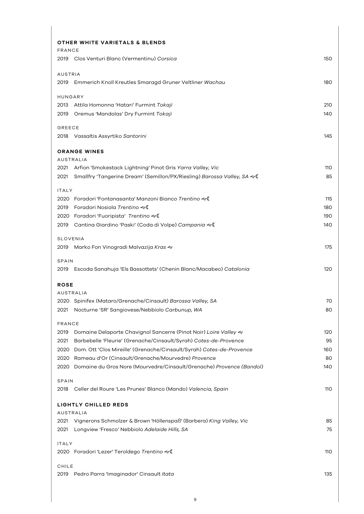| OTHER WHITE VARIETALS & BLENDS<br>FRANCE                                                                                                             |            |
|------------------------------------------------------------------------------------------------------------------------------------------------------|------------|
| 2019 Clos Venturi Blanc (Vermentinu) Corsica                                                                                                         | 150        |
| <b>AUSTRIA</b>                                                                                                                                       |            |
| 2019 Emmerich Knoll Kreutles Smaragd Gruner Veltliner Wachau                                                                                         | 180        |
| HUNGARY                                                                                                                                              |            |
| 2013 Attila Homonna 'Hatari' Furmint Tokaji                                                                                                          | 210        |
| Oremus 'Mandolas' Dry Furmint Tokaji<br>2019                                                                                                         | 140        |
| GREECE                                                                                                                                               |            |
| 2018 Vassaltis Assyrtiko Santorini                                                                                                                   | 145        |
| <b>ORANGE WINES</b>                                                                                                                                  |            |
| <b>AUSTRALIA</b>                                                                                                                                     |            |
| Arfion 'Smokestack Lightning' Pinot Gris Yarra Valley, Vic<br>2021                                                                                   | 110        |
| Smallfry 'Tangerine Dream' (Semillon/PX/Riesling) Barossa Valley, SA << <a><br/>2021</a>                                                             | 85         |
| <b>ITALY</b>                                                                                                                                         |            |
| 2020 Foradori 'Fontanasanta' Manzoni Bianco Trentino ~(                                                                                              | 115        |
| Foradori Nosiola Trentino ~<br>2019                                                                                                                  | 180<br>190 |
| Foradori 'Fuoripista' Trentino<br>2020<br>Cantina Giardino 'Paski' (Coda di Volpe) Campania & C<br>2019                                              | 140        |
|                                                                                                                                                      |            |
| <b>SLOVENIA</b>                                                                                                                                      | 175        |
| 2019 Marko Fon Vinogradi Malvazija Kras «                                                                                                            |            |
| SPAIN                                                                                                                                                |            |
| 2019 Escoda Sanahuja 'Els Bassottets' (Chenin Blanc/Macabeo) Catalonia                                                                               | 120        |
| <b>ROSE</b>                                                                                                                                          |            |
| <b>AUSTRALIA</b>                                                                                                                                     |            |
| 2020 Spinifex (Mataro/Grenache/Cinsault) Barossa Valley, SA<br>2021 Nocturne 'SR' Sangiovese/Nebbiolo Carbunup, WA                                   | 70<br>80   |
|                                                                                                                                                      |            |
| FRANCE                                                                                                                                               |            |
| Domaine Delaporte Chavignol Sancerre (Pinot Noir) Loire Valley &<br>2019<br>2021<br>Barbebelle 'Fleurie' (Grenache/Cinsault/Syrah) Cotes-de-Provence | 120<br>95  |
| Dom. Ott 'Clos Mireille' (Grenache/Cinsault/Syrah) Cotes-de-Provence<br>2020                                                                         | 160        |
| Rameau d'Or (Cinsault/Grenache/Mourvedre) Provence<br>2020                                                                                           | 80         |
| Domaine du Gros Nore (Mourvedre/Cinsault/Grenache) Provence (Bandol)<br>2020                                                                         | 140        |
| SPAIN                                                                                                                                                |            |
| 2018 Celler del Roure 'Les Prunes' Blanco (Mando) Valencia, Spain                                                                                    | 110        |
|                                                                                                                                                      |            |
| <b>LIGHTLY CHILLED REDS</b><br><b>AUSTRALIA</b>                                                                                                      |            |
| Vignerons Schmolzer & Brown 'Höllenspaß' (Barbera) King Valley, Vic<br>2021                                                                          | 85         |
| Longview 'Fresco' Nebbiolo Adelaide Hills, SA<br>2021                                                                                                | 75         |
| <b>ITALY</b>                                                                                                                                         |            |
| 2020 Foradori 'Lezer' Teroldego Trentino ~C                                                                                                          | 110        |
|                                                                                                                                                      |            |
| CHILE<br>2019 Pedro Parra 'Imaginador' Cinsault Itata                                                                                                | 135        |
|                                                                                                                                                      |            |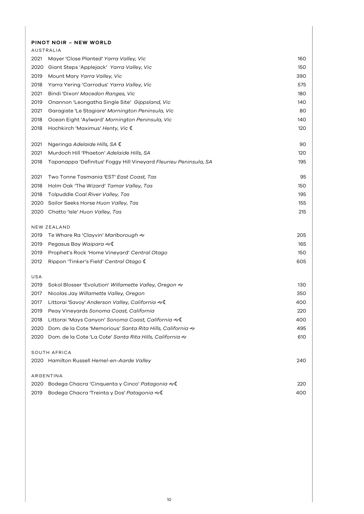# **PINOT NOIR – NEW WORLD**

|      | AUSTRALIA                                                        |     |
|------|------------------------------------------------------------------|-----|
| 2021 | Mayer 'Close Planted' Yarra Valley, Vic                          | 160 |
| 2020 | Giant Steps 'Applejack' Yarra Valley, Vic                        | 150 |
| 2019 | Mount Mary Yarra Valley, Vic                                     | 390 |
| 2018 | Yarra Yering 'Carrodus' Yarra Valley, Vic                        | 575 |
| 2021 | Bindi 'Dixon' Macedon Ranges, Vic                                | 180 |
| 2019 | Onannon 'Leongatha Single Site' Gippsland, Vic                   | 140 |
| 2021 | Garagiste 'Le Stagiare' Mornington Peninsula, Vic                | 80  |
| 2018 | Ocean Eight 'Aylward' Mornington Peninsula, Vic                  | 140 |
| 2018 | Hochkirch 'Maximus' Henty, Vic C                                 | 120 |
| 2021 | Ngeringa Adelaide Hills, SA C                                    | 90  |
| 2021 | Murdoch Hill 'Phaeton' Adelaide Hills, SA                        | 120 |
| 2018 | Tapanappa 'Definitus' Foggy Hill Vineyard Fleurieu Peninsula, SA | 195 |
| 2021 | Two Tonne Tasmania 'EST' East Coast, Tas                         | 95  |
| 2018 | Holm Oak 'The Wizard' Tamar Valley, Tas                          | 150 |
| 2018 | Tolpuddle Coal River Valley, Tas                                 | 195 |
| 2020 | Sailor Seeks Horse Huon Valley, Tas                              | 155 |
| 2020 | Chatto 'Isle' Huon Valley, Tas                                   | 215 |
|      | NEW ZEALAND                                                      |     |
| 2019 | Te Whare Ra 'Clayvin' <i>Marlborough </i>                        | 205 |
| 2019 | Pegasus Bay Waipara & C                                          | 165 |
| 2019 | Prophet's Rock 'Home Vineyard' Central Otago                     | 150 |
| 2012 | Rippon 'Tinker's Field' Central Otago (                          | 605 |
| USA  |                                                                  |     |
| 2019 | Sokol Blosser 'Evolution' Willamette Valley, Oregon &            | 130 |
| 2017 | Nicolas Jay Willamette Valley, Oregon                            | 350 |
| 2017 | Littorai 'Savoy' Anderson Valley, California &                   | 400 |
| 2019 | Peay Vineyards Sonoma Coast, California                          | 220 |
| 2018 | Littorai 'Mays Canyon' Sonoma Coast, California & I              | 400 |
| 2020 | Dom. de la Cote 'Memorious' Santa Rita Hills, California &       | 495 |
| 2020 | Dom. de la Cote 'La Cote' Santa Rita Hills, California &         | 610 |
|      | SOUTH AFRICA                                                     |     |
|      | 2020 Hamilton Russell Hemel-en-Aarde Valley                      | 240 |
|      | ARGENTINA                                                        |     |
| 2020 | Bodega Chacra 'Cinquenta y Cinco' Patagonia &                    | 220 |
| 2019 | Bodega Chacra 'Treinta y Dos' Patagonia & I                      | 400 |
|      |                                                                  |     |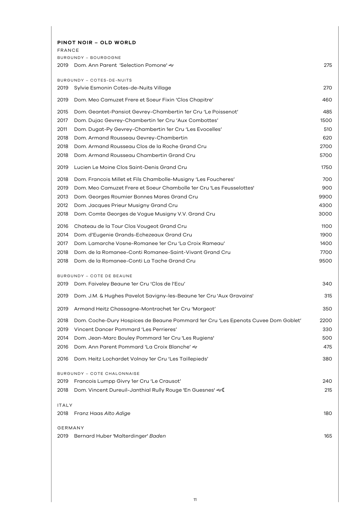| PINOT NOIR - OLD WORLD<br><b>FRANCE</b> |                                                                                   |      |
|-----------------------------------------|-----------------------------------------------------------------------------------|------|
|                                         | BURGUNDY - BOURGOGNE                                                              |      |
|                                         | 2019 Dom. Ann Parent 'Selection Pomone' &                                         | 275  |
| 2019                                    | BURGUNDY - COTES-DE-NUITS<br>Sylvie Esmonin Cotes-de-Nuits Village                | 270  |
| 2019                                    | Dom. Meo Camuzet Frere et Soeur Fixin 'Clos Chapitre'                             | 460  |
| 2015                                    | Dom. Geantet-Pansiot Gevrey-Chambertin 1er Cru 'Le Poissenot'                     | 485  |
| 2017                                    | Dom. Dujac Gevrey-Chambertin 1er Cru 'Aux Combottes'                              | 1500 |
| 2011                                    | Dom. Dugat-Py Gevrey-Chambertin 1er Cru 'Les Evocelles'                           | 510  |
| 2018                                    | Dom. Armand Rousseau Gevrey-Chambertin                                            | 620  |
| 2018                                    | Dom. Armand Rousseau Clos de la Roche Grand Cru                                   | 2700 |
| 2018                                    | Dom. Armand Rousseau Chambertin Grand Cru                                         | 5700 |
| 2019                                    | Lucien Le Moine Clos Saint-Denis Grand Cru                                        | 1750 |
| 2018                                    | Dom. Francois Millet et Fils Chambolle-Musigny 'Les Foucheres'                    | 700  |
| 2019                                    | Dom. Meo Camuzet Frere et Soeur Chambolle 1er Cru 'Les Feusselottes'              | 900  |
| 2013                                    | Dom. Georges Roumier Bonnes Mares Grand Cru                                       | 9900 |
| 2012                                    | Dom. Jacques Prieur Musigny Grand Cru                                             | 4300 |
| 2018                                    | Dom. Comte Georges de Vogue Musigny V.V. Grand Cru                                | 3000 |
| 2016                                    | Chateau de la Tour Clos Vougeot Grand Cru                                         | 1100 |
| 2014                                    | Dom. d'Eugenie Grands-Echezeaux Grand Cru                                         | 1900 |
| 2017                                    | Dom. Lamarche Vosne-Romanee 1er Cru 'La Croix Rameau'                             | 1400 |
| 2018                                    | Dom, de la Romanee-Conti Romanee-Saint-Vivant Grand Cru                           | 7700 |
| 2018                                    | Dom, de la Romanee-Conti La Tache Grand Cru                                       | 9500 |
|                                         | <b>BURGUNDY - COTE DE BEAUNE</b>                                                  |      |
|                                         | 2019 Dom. Faiveley Beaune 1er Cru 'Clos de l'Ecu'                                 | 340  |
| 2019                                    | Dom. J.M. & Hughes Pavelot Savigny-les-Beaune 1er Cru 'Aux Gravains'              | 315  |
| 2019                                    | Armand Heitz Chassagne-Montrachet 1er Cru 'Morgeot'                               | 350  |
| 2018                                    | Dom. Coche-Dury Hospices de Beaune Pommard 1er Cru 'Les Epenots Cuvee Dom Goblet' | 2200 |
| 2019                                    | Vincent Dancer Pommard 'Les Perrieres'                                            | 330  |
| 2014                                    | Dom. Jean-Marc Bouley Pommard 1er Cru 'Les Rugiens'                               | 500  |
| 2016                                    | Dom. Ann Parent Pommard 'La Croix Blanche' <                                      | 475  |
| 2016                                    | Dom. Heitz Lochardet Volnay 1er Cru 'Les Taillepieds'                             | 380  |
|                                         | BURGUNDY - COTE CHALONNAISE                                                       |      |
| 2019                                    | Francois Lumpp Givry 1er Cru 'Le Crausot'                                         | 240  |
| 2018                                    | Dom. Vincent Dureuil-Janthial Rully Rouge 'En Guesnes' <<                         | 215  |
| <b>ITALY</b>                            |                                                                                   |      |
| 2018                                    | Franz Haas Alto Adige                                                             | 180  |
| GERMANY                                 |                                                                                   |      |
| 2019                                    | Bernard Huber 'Malterdinger' Baden                                                | 165  |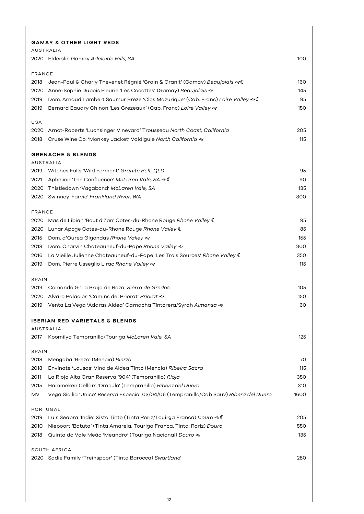|                       | <b>GAMAY &amp; OTHER LIGHT REDS</b>                                                    |            |
|-----------------------|----------------------------------------------------------------------------------------|------------|
|                       | <b>AUSTRALIA</b>                                                                       |            |
|                       | 2020 Elderslie Gamay Adelaide Hills, SA                                                | 100        |
|                       |                                                                                        |            |
| <b>FRANCE</b><br>2018 |                                                                                        | 160        |
| 2020                  | Anne-Sophie Dubois Fleurie 'Les Cocottes' (Gamay) Beaujolais &                         | 145        |
| 2019                  | Dom. Arnaud Lambert Saumur Breze 'Clos Mazurique' (Cab. Franc) Loire Valley & I        | 95         |
| 2019                  | Bernard Baudry Chinon 'Les Grezeaux' (Cab. Franc) Loire Valley &                       | 150        |
|                       |                                                                                        |            |
| USA                   |                                                                                        |            |
| 2020                  | Arnot-Roberts 'Luchsinger Vineyard' Trousseau North Coast, California                  | 205        |
| 2018                  | Cruse Wine Co. 'Monkey Jacket' Valdiguie North California &                            | 115        |
|                       | <b>GRENACHE &amp; BLENDS</b>                                                           |            |
|                       | <b>AUSTRALIA</b>                                                                       |            |
| 2019                  | Witches Falls 'Wild Ferment' Granite Belt, QLD                                         | 95         |
| 2021                  | Aphelion 'The Confluence' McLaren Vale, SA &                                           | 90         |
| 2020                  | Thistledown 'Vagabond' McLaren Vale, SA                                                | 135        |
| 2020                  | Swinney 'Farvie' Frankland River, WA                                                   | 300        |
|                       |                                                                                        |            |
| <b>FRANCE</b><br>2020 |                                                                                        | 95         |
|                       | Mas de Libian 'Bout d'Zan' Cotes-du-Rhone Rouge Rhone Valley (                         | 85         |
| 2020                  | Lunar Apoge Cotes-du-Rhone Rouge Rhone Valley (                                        |            |
| 2015                  | Dom. d'Ourea Gigondas Rhone Valley «                                                   | 155<br>300 |
| 2018                  | Dom. Charvin Chateauneuf-du-Pape Rhone Valley &                                        |            |
| 2016                  | La Vieille Julienne Chateauneuf-du-Pape 'Les Trois Sources' Rhone Valley (             | 350        |
| 2019                  | Dom. Pierre Usseglio Lirac Rhone Valley &                                              | 115        |
| SPAIN                 |                                                                                        |            |
| 2019                  | Comando G 'La Bruja de Roza' Sierra de Gredos                                          | 105        |
| 2020                  | Alvaro Palacios 'Camins del Priorat' Priorat &                                         | 150        |
| 2019                  | Venta La Vega 'Adaras Aldea' Garnacha Tintorera/Syrah Almansa &                        | 60         |
|                       | <b>IBERIAN RED VARIETALS &amp; BLENDS</b>                                              |            |
|                       | AUSTRALIA                                                                              |            |
| 2017                  | Koomilya Tempranillo/Touriga McLaren Vale, SA                                          | 125        |
|                       |                                                                                        |            |
| SPAIN<br>2018         | Mengoba 'Brezo' (Mencia) Bierzo                                                        | 70         |
| 2018                  | Envinate 'Lousas' Vina de Aldea Tinto (Mencia) Ribeira Sacra                           | 115        |
| 2011                  | La Rioja Alta Gran Reserva '904' (Tempranillo) Rioja                                   | 350        |
| 2015                  | Hammeken Cellars 'Oraculo' (Tempranillo) Ribera del Duero                              | 310        |
| MV                    | Vega Sicilia 'Unico' Reserva Especial 03/04/06 (Tempranillo/Cab Sauv) Ribera del Duero | 1600       |
|                       |                                                                                        |            |
| PORTUGAL              |                                                                                        |            |
| 2019                  | Luis Seabra 'Indie' Xisto Tinto (Tinta Roriz/Touirga Franca) Douro &                   | 205        |
| 2010                  | Niepoort 'Batuta' (Tinta Amarela, Touriga Franca, Tinta, Roriz) Douro                  | 550        |
| 2018                  | Quinta do Vale Meão 'Meandro' (Touriga Nacional) Douro &                               | 135        |
| <b>SOUTH AFRICA</b>   |                                                                                        |            |
|                       | 2020 Sadie Family 'Treinspoor' (Tinta Barocca) Swartland                               | 280        |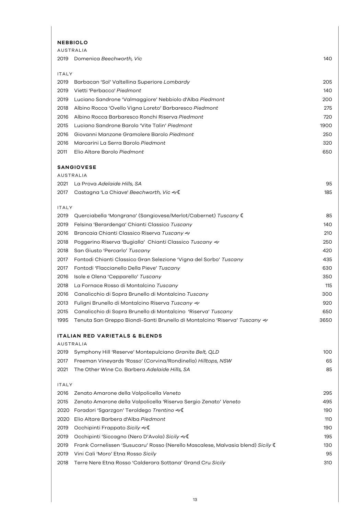#### **NEBBIOLO**

| AUSTRALIA    |                                                                                                 |      |
|--------------|-------------------------------------------------------------------------------------------------|------|
| 2019         | Domenica Beechworth, Vic                                                                        | 140  |
|              |                                                                                                 |      |
| <b>ITALY</b> |                                                                                                 |      |
| 2019         | Barbacan 'Sol' Valtellina Superiore Lombardy                                                    | 205  |
| 2019         | Vietti 'Perbacco' Piedmont                                                                      | 140  |
| 2019         | Luciano Sandrone 'Valmaggiore' Nebbiolo d'Alba Piedmont                                         | 200  |
| 2018         | Albino Rocca 'Ovello Vigna Loreto' Barbaresco Piedmont                                          | 275  |
| 2016         | Albino Rocca Barbaresco Ronchi Riserva Piedmont                                                 | 720  |
| 2015         | Luciano Sandrone Barolo 'Vite Talin' Piedmont                                                   | 1900 |
| 2016         | Giovanni Manzone Gramolere Barolo Piedmont                                                      | 250  |
| 2016         | Marcarini La Serra Barolo Piedmont                                                              | 320  |
| 2011         | Elio Altare Barolo Piedmont                                                                     | 650  |
|              |                                                                                                 |      |
|              | <b>SANGIOVESE</b><br>AUSTRALIA                                                                  |      |
| 2021         | La Prova Adelaide Hills, SA                                                                     | 95   |
| 2017         | Castagna 'La Chiave' Beechworth, Vic &                                                          | 185  |
|              |                                                                                                 |      |
| <b>ITALY</b> |                                                                                                 |      |
| 2019         | Querciabella 'Mongrana' (Sangiovese/Merlot/Cabernet) Tuscany (                                  | 85   |
| 2019         | Felsina 'Berardenga' Chianti Classico Tuscany                                                   | 140  |
| 2016         | Brancaia Chianti Classico Riserva Tuscany &                                                     | 210  |
| 2018         | Poggerino Riserva 'Bugialla' Chianti Classico Tuscany &                                         | 250  |
| 2018         | San Giusto 'Percarlo' Tuscany                                                                   | 420  |
| 2017         | Fontodi Chianti Classico Gran Selezione 'Vigna del Sorbo' Tuscany                               | 435  |
| 2017         | Fontodi 'Flaccianello Della Pieve' Tuscany                                                      | 630  |
| 2016         | Isole e Olena 'Cepparello' Tuscany                                                              | 350  |
| 2018         | La Fornace Rosso di Montalcino Tuscany                                                          | 115  |
| 2016         | Canalicchio di Sopra Brunello di Montalcino Tuscany                                             | 300  |
| 2013         | Fuligni Brunello di Montalcino Riserva Tuscany &                                                | 920  |
| 2015         | Canalicchio di Sopra Brunello di Montalcino 'Riserva' Tuscany                                   | 650  |
| 1995         | Tenuta San Greppo Biondi-Santi Brunello di Montalcino 'Riserva' <i>Tuscany <math>\ll</math></i> | 3650 |
|              |                                                                                                 |      |
|              | <b>ITALIAN RED VARIETALS &amp; BLENDS</b><br><b>AUSTRALIA</b>                                   |      |
| 2019         | Symphony Hill 'Reserve' Montepulciano Granite Belt, QLD                                         | 100  |
| 2017         | Freeman Vineyards 'Rosso' (Corvina/Rondinella) Hilltops, NSW                                    | 65   |
| 2021         | The Other Wine Co. Barbera Adelaide Hills, SA                                                   | 85   |
|              |                                                                                                 |      |
| <b>ITALY</b> |                                                                                                 |      |
| 2016         | Zenato Amarone della Valpolicella Veneto                                                        | 295  |
| 2015         | Zenato Amarone della Valpolicella 'Riserva Sergio Zenato' Veneto                                | 495  |
| 2020         | Foradori 'Sgarzgon' Teroldego Trentino &                                                        | 190  |
| 2020         | Elio Altare Barbera d'Alba Piedmont                                                             | 110  |
| 2019         | Occhipinti Frappato Sicily &                                                                    | 190  |
| 2019         | Occhipinti 'Siccagno (Nero D'Avola) Sicily ~1                                                   | 195  |
| 2019         | Frank Cornelissen 'Susucaru' Rosso (Nerello Mascalese, Malvasia blend) Sicily (                 | 130  |
| 2019         | Vini Cali 'Moro' Etna Rosso Sicily                                                              | 95   |
| 2018         | Terre Nere Etna Rosso 'Calderara Sottana' Grand Cru Sicily                                      | 310  |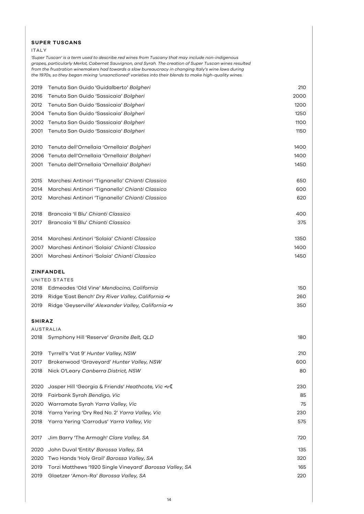#### **SUPER TUSCANS**

#### ITALY

*'Super Tuscan' is a term used to describe red wines from Tuscany that may include non-indigenous grapes, particularly Merlot, Cabernet Sauvignon, and Syrah. The creation of Super Tuscan wines resulted from the frustration winemakers had towards a slow bureaucracy in changing Italy's wine laws during the 1970s, so they began mixing 'unsanctioned' varieties into their blends to make high-quality wines.* 

| 2019          | Tenuta San Guido 'Guidalberto' Bolgheri                  | 210  |
|---------------|----------------------------------------------------------|------|
| 2016          | Tenuta San Guido 'Sassicaia' Bolgheri                    | 2000 |
| 2012          | Tenuta San Guido 'Sassicaia' Bolgheri                    | 1200 |
| 2004          | Tenuta San Guido 'Sassicaia' Bolgheri                    | 1250 |
| 2002          | Tenuta San Guido 'Sassicaia' Bolgheri                    | 1100 |
| 2001          | Tenuta San Guido 'Sassicaia' Bolgheri                    | 1150 |
| 2010          | Tenuta dell'Ornellaia 'Ornellaia' Bolgheri               | 1400 |
| 2006          | Tenuta dell'Ornellaia 'Ornellaia' Bolgheri               | 1400 |
| 2001          | Tenuta dell'Ornellaia 'Ornellaia' Bolgheri               | 1450 |
| 2015          | Marchesi Antinori 'Tignanello' Chianti Classico          | 650  |
| 2014          | Marchesi Antinori 'Tignanello' Chianti Classico          | 600  |
| 2012          | Marchesi Antinori 'Tignanello' Chianti Classico          | 620  |
| 2018          | Brancaia 'Il Blu' Chianti Classico                       | 400  |
| 2017          | Brancaia 'Il Blu' Chianti Classico                       | 375  |
| 2014          | Marchesi Antinori 'Solaia' Chianti Classico              | 1350 |
| 2007          | Marchesi Antinori 'Solaia' Chianti Classico              | 1400 |
| 2001          | Marchesi Antinori 'Solaia' Chianti Classico              | 1450 |
|               | ZINFANDEL                                                |      |
|               | UNITED STATES                                            |      |
| 2018          | Edmeades 'Old Vine' Mendocino, California                | 150  |
| 2019          | Ridge 'East Bench' Dry River Valley, California &        | 260  |
| 2019          | Ridge 'Geyserville' Alexander Valley, California &       | 350  |
| <b>SHIRAZ</b> |                                                          |      |
|               | AUSTRALIA                                                |      |
| 2018          | Symphony Hill 'Reserve' Granite Belt, QLD                | 180  |
| 2019          | Tyrrell's 'Vat 9' Hunter Valley, NSW                     | 210  |
| 2017          | Brokenwood 'Graveyard' Hunter Valley, NSW                | 600  |
| 2018          | Nick O'Leary Canberra District, NSW                      | 80   |
| 2020          | Jasper Hill 'Georgia & Friends' Heathcote, Vic $\ll$ (   | 230  |
| 2019          | Fairbank Syrah Bendigo, Vic                              | 85   |
| 2020          | Warramate Syrah Yarra Valley, Vic                        | 75   |
| 2018          | Yarra Yering 'Dry Red No. 2' Yarra Valley, Vic           | 230  |
| 2018          | Yarra Yering 'Carrodus' Yarra Valley, Vic                | 575  |
| 2017          | Jim Barry 'The Armagh' Clare Valley, SA                  | 720  |
| 2020          | John Duval 'Entity' Barossa Valley, SA                   | 135  |
| 2020          | Two Hands 'Holy Grail' <i>Barossa Valley, SA</i>         | 320  |
| 2019          | Torzi Matthews '1920 Single Vineyard' Barossa Valley, SA | 165  |
| 2019          | Glaetzer 'Amon-Ra' Barossa Valley, SA                    | 220  |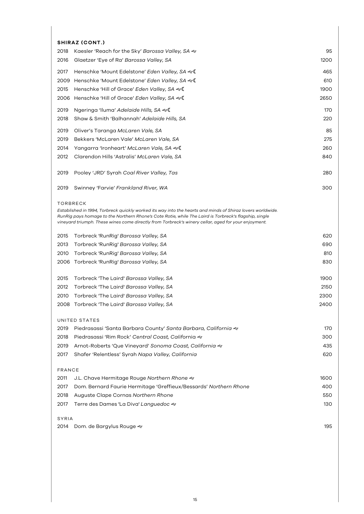# **SHIRAZ (CONT.)**

| <b>SHIRAL (UUNI.)</b>                                                                                                         |      |
|-------------------------------------------------------------------------------------------------------------------------------|------|
| Kaesler 'Reach for the Sky' Barossa Valley, SA &<br>2018                                                                      | 95   |
| 2016<br>Glaetzer 'Eye of Ra' Barossa Valley, SA                                                                               | 1200 |
| 2017<br>Henschke 'Mount Edelstone' Eden Valley, SA &                                                                          | 465  |
| Henschke 'Mount Edelstone' Eden Valley, SA &<br>2009                                                                          | 610  |
| Henschke 'Hill of Grace' Eden Valley, SA $\ll 0$<br>2015                                                                      | 1900 |
| Henschke 'Hill of Grace' Eden Valley, SA ~<br>2006                                                                            | 2650 |
| Ngeringa 'Iluma' Adelaide Hills, SA &<br>2019                                                                                 | 170  |
| 2018<br>Shaw & Smith 'Balhannah' Adelaide Hills, SA                                                                           | 220  |
|                                                                                                                               |      |
| 2019<br>Oliver's Taranga McLaren Vale, SA                                                                                     | 85   |
| 2019<br>Bekkers 'McLaren Vale' McLaren Vale, SA                                                                               | 275  |
| 2014<br>Yangarra 'Ironheart' McLaren Vale, SA �� (                                                                            | 260  |
| 2012<br>Clarendon Hills 'Astralis' McLaren Vale, SA                                                                           | 840  |
| 2019<br>Pooley 'JRD' Syrah Coal River Valley, Tas                                                                             | 280  |
|                                                                                                                               |      |
| 2019<br>Swinney 'Farvie' Frankland River, WA                                                                                  | 300  |
|                                                                                                                               |      |
| <b>TORBRECK</b><br>Established in 1994, Torbreck quickly worked its way into the hearts and minds of Shiraz lovers worldwide. |      |
| RunRig pays homage to the Northern Rhone's Cote Rotie, while The Laird is Torbreck's flagship, single                         |      |
| vineyard triumph. These wines come directly from Torbreck's winery cellar, aged for your enjoyment.                           |      |
| 2015<br>Torbreck 'RunRig' Barossa Valley, SA                                                                                  | 620  |
| 2013<br>Torbreck 'RunRig' Barossa Valley, SA                                                                                  | 690  |
| 2010<br>Torbreck 'RunRig' Barossa Valley, SA                                                                                  | 810  |
| Torbreck 'RunRig' Barossa Valley, SA<br>2006                                                                                  | 830  |
|                                                                                                                               |      |
| Torbreck 'The Laird' Barossa Valley, SA<br>2015                                                                               | 1900 |
| 2012<br>Torbreck 'The Laird' Barossa Valley, SA                                                                               | 2150 |
| 2010<br>Torbreck 'The Laird' Barossa Valley, SA                                                                               | 2300 |
| Torbreck 'The Laird' Barossa Valley, SA<br>2008                                                                               | 2400 |
|                                                                                                                               |      |
| UNITED STATES<br>2019<br>Piedrasassi 'Santa Barbara County' <i>Santa Barbara, California</i> &                                | 170  |
| 2018<br>Piedrasassi 'Rim Rock' Central Coast, California &                                                                    | 300  |
|                                                                                                                               | 435  |
| 2019<br>Arnot-Roberts 'Que Vineyard' Sonoma Coast, California &                                                               |      |
| 2017<br>Shafer 'Relentless' Syrah Napa Valley, California                                                                     | 620  |
| FRANCE                                                                                                                        |      |
| 2011<br>J.L. Chave Hermitage Rouge Northern Rhone &                                                                           | 1600 |
| Dom. Bernard Faurie Hermitage 'Greffieux/Bessards' Northern Rhone<br>2017                                                     | 400  |
| 2018<br>Auguste Clape Cornas Northern Rhone                                                                                   | 550  |
| 2017<br>Terre des Dames 'La Diva' <i>Languedoc ≪</i>                                                                          | 130  |
|                                                                                                                               |      |
| SYRIA                                                                                                                         |      |
| 2014<br>Dom. de Bargylus Rouge &                                                                                              | 195  |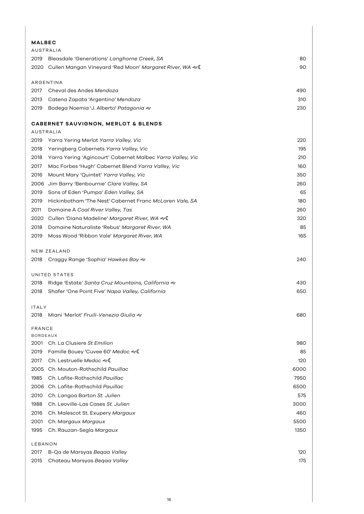| <b>MALBEC</b>   |                                                            |      |
|-----------------|------------------------------------------------------------|------|
|                 | AUSTRALIA                                                  |      |
| 2019            | Bleasdale 'Generations' Langhorne Creek, SA                | 80   |
| 2020            | Cullen Mangan Vineyard 'Red Moon' Margaret River, WA &     | 90   |
|                 | ARGENTINA                                                  |      |
| 2017            | Cheval des Andes Mendoza                                   | 490  |
| 2013            | Catena Zapata 'Argentino' Mendoza                          | 310  |
| 2019            | Bodega Noemia 'J. Alberto' Patagonia &                     | 230  |
|                 | CABERNET SAUVIGNON, MERLOT & BLENDS<br><b>AUSTRALIA</b>    |      |
| 2019            | Yarra Yering Merlot Yarra Valley, Vic                      | 220  |
| 2018            | Yeringberg Cabernets Yarra Valley, Vic                     | 195  |
| 2018            | Yarra Yering 'Agincourt' Cabernet Malbec Yarra Valley, Vic | 210  |
| 2017            | Mac Forbes 'Hugh' Cabernet Blend Yarra Valley, Vic         | 160  |
| 2016            | Mount Mary 'Quintet' Yarra Valley, Vic                     | 350  |
| 2006            | Jim Barry 'Benbournie' Clare Valley, SA                    | 260  |
| 2019            | Sons of Eden 'Pumpa' Eden Valley, SA                       | 65   |
| 2019            | Hickinbotham 'The Nest' Cabernet Franc McLaren Vale, SA    | 180  |
| 2011            | Domaine A Coal River Valley, Tas                           | 260  |
| 2020            | Cullen 'Diana Madeline' Margaret River, WA &               | 320  |
| 2018            | Domaine Naturaliste 'Rebus' Margaret River, WA             | 85   |
| 2019            | Moss Wood 'Ribbon Vale' Margaret River, WA                 | 165  |
|                 |                                                            |      |
|                 | NEW ZEALAND                                                |      |
| 2018            | Craggy Range 'Sophia' Hawkes Bay &                         | 240  |
|                 | UNITED STATES                                              |      |
| 2018            | Ridge 'Estate' Santa Cruz Mountains, California &          | 430  |
| 2018            | Shafer 'One Point Five' Napa Valley, California            | 650  |
| <b>ITALY</b>    |                                                            |      |
| 2018            | Miani 'Merlot' Fruili-Venezia Giulia &                     | 680  |
| <b>FRANCE</b>   |                                                            |      |
| <b>BORDEAUX</b> |                                                            |      |
|                 | 2001 Ch. La Clusiere St Emilion                            | 980  |
| 2019            | Famille Bouey 'Cuvee 60' Medoc &                           | 85   |
| 2017            | Ch. Lestruelle Medoc &                                     | 120  |
| 2005            | Ch. Mouton-Rothschild Pauillac                             | 6000 |
| 1985            | Ch. Lafite-Rothschild Pauillac                             | 7950 |
| 2006            | Ch. Lafite-Rothschild <i>Pauillac</i>                      | 6500 |
| 2010            | Ch. Langoa Barton St. Julien                               | 575  |
| 1988            | Ch. Leoville-Las Cases St. Julien                          | 3000 |
| 2016            | Ch. Malescot St. Exupery Margaux                           | 460  |
| 2001            | Ch. Margaux Margaux                                        | 5500 |
| 1995            | Ch. Rauzan-Segla Margaux                                   | 1350 |
| LEBANON         |                                                            |      |
| 2017            | B-Qa de Marsyas Begaa Valley                               | 120  |
| 2015            | Chateau Marsyas Begaa Valley                               | 175  |